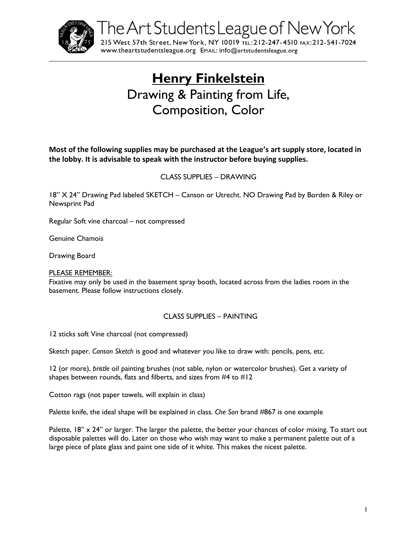

The Art Students League of New York

215 West 57th Street, New York, NY 10019 TEL: 212-247-4510 FAX: 212-541-7024 WWW.theartstudentsleague.org EMAIL: info@artstudentsleague.org

# **Henry Finkelstein** Drawing & Painting from Life, Composition, Color

**Most of the following supplies may be purchased at the League's art supply store, located in the lobby. It is advisable to speak with the instructor before buying supplies.**

## CLASS SUPPLIES – DRAWING

18" X 24" Drawing Pad labeled SKETCH – Canson or Utrecht. NO Drawing Pad by Borden & Riley or Newsprint Pad

Regular Soft vine charcoal – not compressed

Genuine Chamois

Drawing Board

#### PLEASE REMEMBER:

Fixative may only be used in the basement spray booth, located across from the ladies room in the basement. Please follow instructions closely.

#### CLASS SUPPLIES – PAINTING

12 sticks soft Vine charcoal (not compressed)

Sketch paper. *Canson Sketch* is good and whatever you like to draw with: pencils, pens, etc.

12 (or more), *bristle* oil painting brushes (not sable, nylon or watercolor brushes). Get a variety of shapes between rounds, flats and filberts, and sizes from #4 to #12

Cotton rags (not paper towels, will explain in class)

Palette knife, the ideal shape will be explained in class. *Che Son* brand #867 is one example

Palette, 18" x 24" or larger. The larger the palette, the better your chances of color mixing. To start out disposable palettes will do. Later on those who wish may want to make a permanent palette out of a large piece of plate glass and paint one side of it white. This makes the nicest palette.